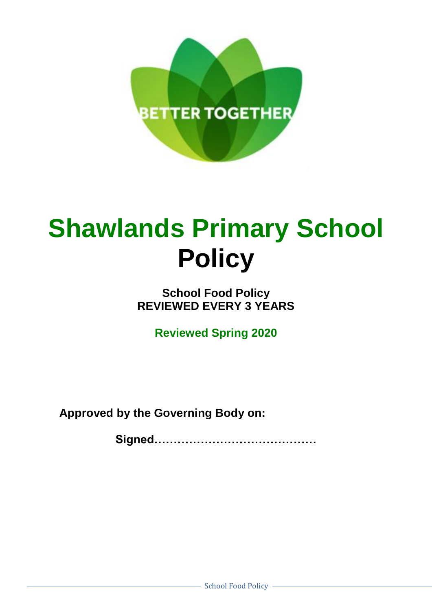

# **Shawlands Primary School Policy**

# **School Food Policy REVIEWED EVERY 3 YEARS**

**Reviewed Spring 2020**

**Approved by the Governing Body on:**

**Signed……………………………………**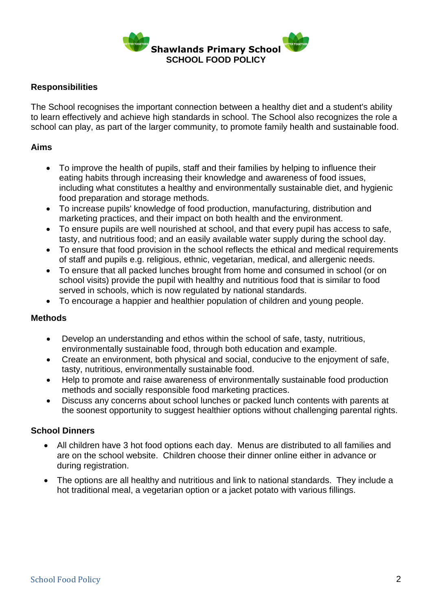

# **Responsibilities**

The School recognises the important connection between a healthy diet and a student's ability to learn effectively and achieve high standards in school. The School also recognizes the role a school can play, as part of the larger community, to promote family health and sustainable food.

## **Aims**

- To improve the health of pupils, staff and their families by helping to influence their eating habits through increasing their knowledge and awareness of food issues, including what constitutes a healthy and environmentally sustainable diet, and hygienic food preparation and storage methods.
- To increase pupils' knowledge of food production, manufacturing, distribution and marketing practices, and their impact on both health and the environment.
- To ensure pupils are well nourished at school, and that every pupil has access to safe, tasty, and nutritious food; and an easily available water supply during the school day.
- To ensure that food provision in the school reflects the ethical and medical requirements of staff and pupils e.g. religious, ethnic, vegetarian, medical, and allergenic needs.
- To ensure that all packed lunches brought from home and consumed in school (or on school visits) provide the pupil with healthy and nutritious food that is similar to food served in schools, which is now regulated by national standards.
- To encourage a happier and healthier population of children and young people.

#### **Methods**

- Develop an understanding and ethos within the school of safe, tasty, nutritious, environmentally sustainable food, through both education and example.
- Create an environment, both physical and social, conducive to the enjoyment of safe, tasty, nutritious, environmentally sustainable food.
- Help to promote and raise awareness of environmentally sustainable food production methods and socially responsible food marketing practices.
- Discuss any concerns about school lunches or packed lunch contents with parents at the soonest opportunity to suggest healthier options without challenging parental rights.

#### **School Dinners**

- All children have 3 hot food options each day. Menus are distributed to all families and are on the school website. Children choose their dinner online either in advance or during registration.
- The options are all healthy and nutritious and link to national standards. They include a hot traditional meal, a vegetarian option or a jacket potato with various fillings.